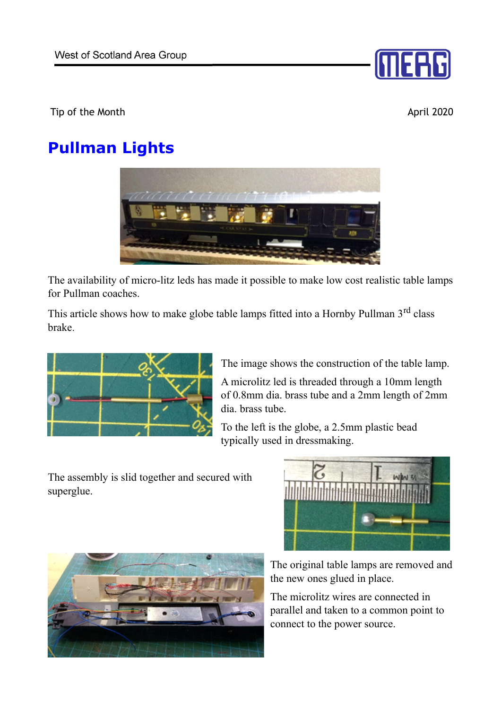

## **Pullman Lights**



The availability of micro-litz leds has made it possible to make low cost realistic table lamps for Pullman coaches.

This article shows how to make globe table lamps fitted into a Hornby Pullman 3<sup>rd</sup> class brake.



The image shows the construction of the table lamp.

A microlitz led is threaded through a 10mm length of 0.8mm dia. brass tube and a 2mm length of 2mm dia. brass tube.

To the left is the globe, a 2.5mm plastic bead typically used in dressmaking.

The assembly is slid together and secured with superglue.





The original table lamps are removed and the new ones glued in place.

The microlitz wires are connected in parallel and taken to a common point to connect to the power source.